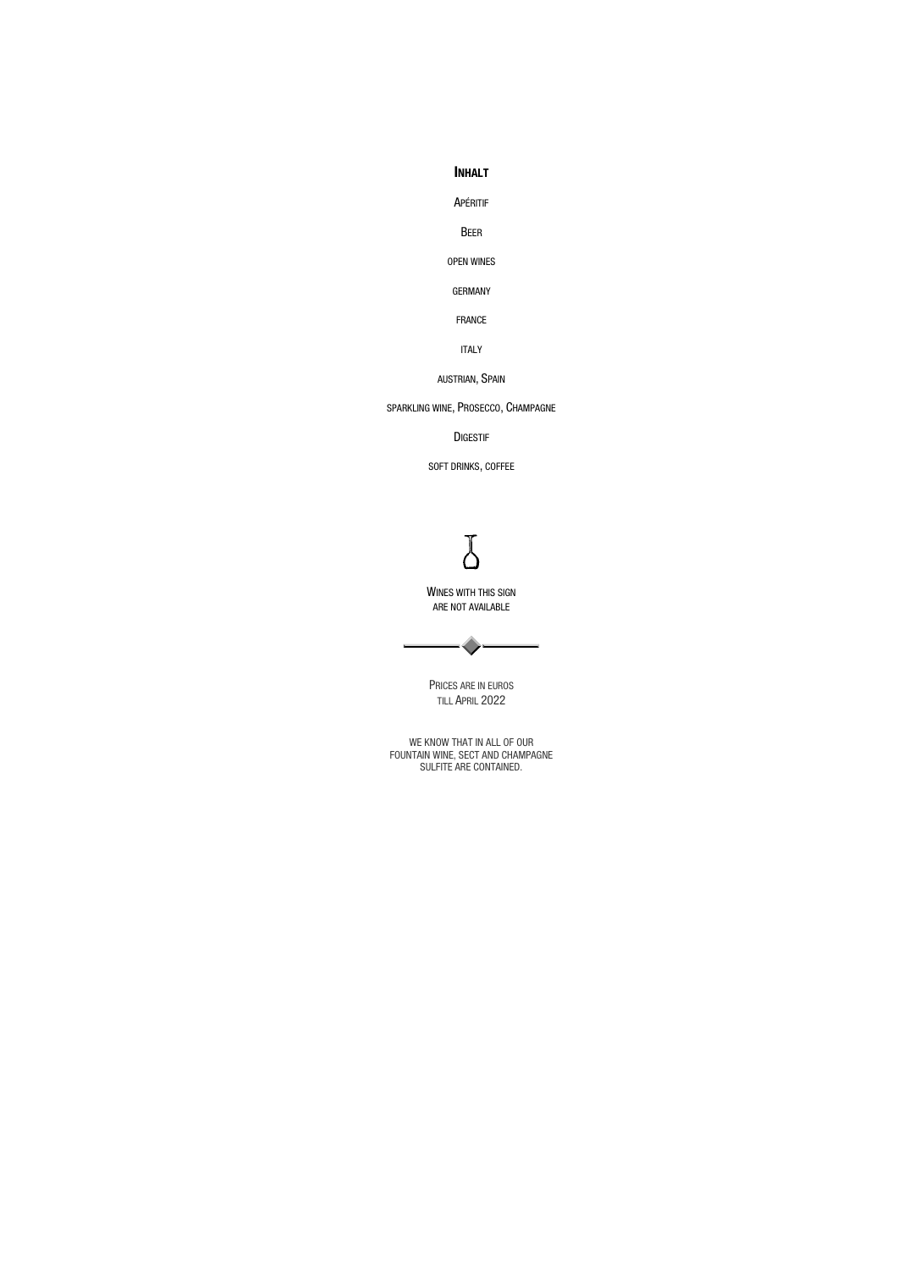#### INHALT

APÉRITIF

BEER

OPEN WINES

GERMANY

FRANCE

ITALY

AUSTRIAN, SPAIN

WINES WITH THIS SIGN ARE NOT AVAILABLE



SPARKLING WINE, PROSECCO, CHAMPAGNE

DIGESTIF

SOFT DRINKS, COFFEE



PRICES ARE IN EUROS TILL APRIL 2022

WE KNOW THAT IN ALL OF OUR FOUNTAIN WINE, SECT AND CHAMPAGNE SULFITE ARE CONTAINED.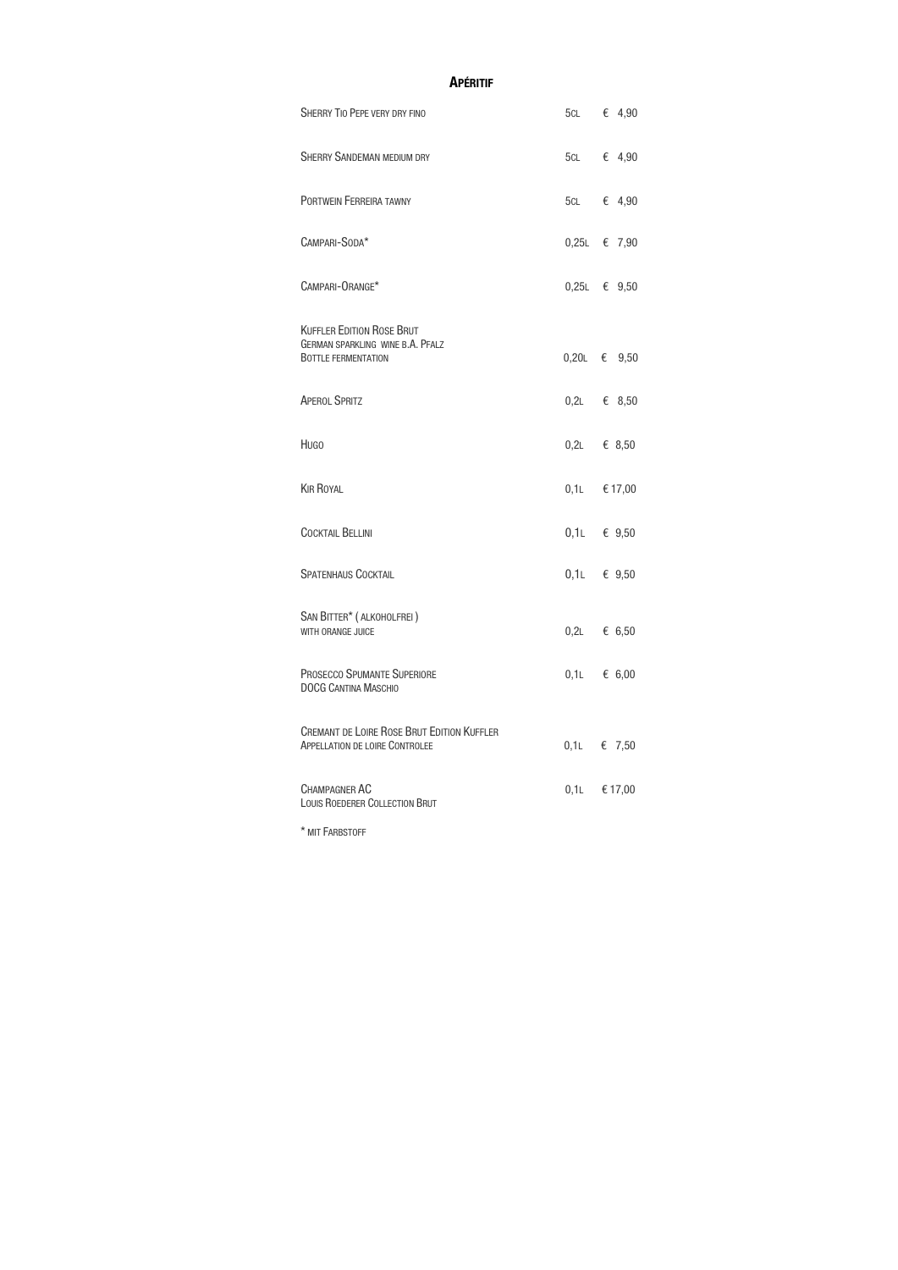| <b>APÉRITIF</b>                                                                                           |     |                      |  |
|-----------------------------------------------------------------------------------------------------------|-----|----------------------|--|
| <b>SHERRY TIO PEPE VERY DRY FINO</b>                                                                      |     | 5CL € 4,90           |  |
| <b>SHERRY SANDEMAN MEDIUM DRY</b>                                                                         |     | 5CL € 4,90           |  |
| PORTWEIN FERREIRA TAWNY                                                                                   | 5CL | € 4,90               |  |
| CAMPARI-SODA*                                                                                             |     | 0,25L € 7,90         |  |
| CAMPARI-ORANGE*                                                                                           |     | $0,25L \in 9,50$     |  |
| <b>KUFFLER EDITION ROSE BRUT</b><br><b>GERMAN SPARKLING WINE B.A. PFALZ</b><br><b>BOTTLE FERMENTATION</b> |     | $0,20L \in 9,50$     |  |
| <b>APEROL SPRITZ</b>                                                                                      |     | $0,2L$ $\in$ 8,50    |  |
| <b>HUGO</b>                                                                                               |     | $0,2L$ $\in$ 8,50    |  |
| <b>KIR ROYAL</b>                                                                                          |     | $0,1$ $\times$ 17,00 |  |
| <b>COCKTAIL BELLINI</b>                                                                                   |     | $0,1$ $\in$ 9,50     |  |
| <b>SPATENHAUS COCKTAIL</b>                                                                                |     | $0,1$ L $\in$ 9,50   |  |
| SAN BITTER* (ALKOHOLFREI)<br>WITH ORANGE JUICE                                                            |     | $0,2L$ $\in$ 6,50    |  |
| <b>PROSECCO SPUMANTE SUPERIORE</b><br><b>DOCG CANTINA MASCHIO</b>                                         |     | $0,1$ $\times$ 6,00  |  |
| <b>CREMANT DE LOIRE ROSE BRUT EDITION KUFFLER</b><br><b>APPELLATION DE LOIRE CONTROLEE</b>                |     | $0,1$ L $\in$ 7,50   |  |
| <b>CHAMPAGNER AC</b><br>LOUIS ROEDERER COLLECTION BRUT                                                    |     | $0,1$ L $\in$ 17,00  |  |

\* MIT FARBSTOFF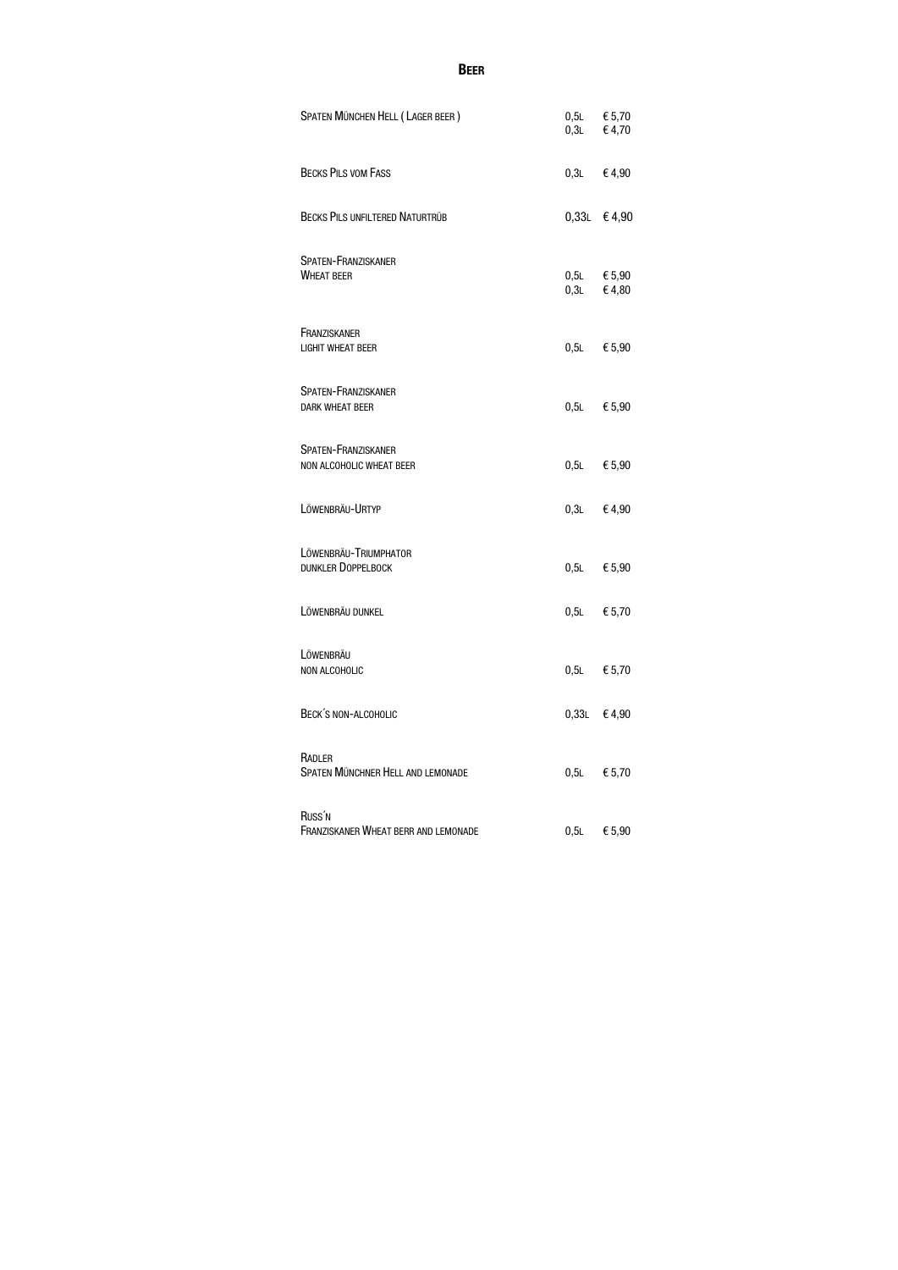### **BEER**

| SPATEN MÜNCHEN HELL (LAGER BEER)                           |         | $0,5L$ $\in$ 5,70<br>$0,3L$ $\in$ 4,70 |
|------------------------------------------------------------|---------|----------------------------------------|
| <b>BECKS PILS VOM FASS</b>                                 | 0,3L    | €4,90                                  |
| <b>BECKS PILS UNFILTERED NATURTRÜB</b>                     |         | $0,33L \in 4,90$                       |
| <b>SPATEN-FRANZISKANER</b><br><b>WHEAT BEER</b>            | 0,3L    | $0,5L$ $\in$ 5,90<br>€4,80             |
| FRANZISKANER<br><b>LIGHIT WHEAT BEER</b>                   | $0,5$ L | € 5,90                                 |
| <b>SPATEN-FRANZISKANER</b><br>DARK WHEAT BEER              | $0,5$ L | € 5,90                                 |
| <b>SPATEN-FRANZISKANER</b><br>NON ALCOHOLIC WHEAT BEER     | $0,5$ L | € 5,90                                 |
| LÖWENBRÄU-URTYP                                            | 0,3L    | €4,90                                  |
| LÖWENBRÄU-TRIUMPHATOR<br>DUNKLER DOPPELBOCK                |         | $0,5L$ $\in$ 5,90                      |
| LÖWENBRÄU DUNKEL                                           |         | $0,5L$ $\in$ 5,70                      |
| LÖWENBRÄU<br>NON ALCOHOLIC                                 | $0,5$ L | € 5,70                                 |
| BECK'S NON-ALCOHOLIC                                       | 0,33L   | €4,90                                  |
| RADLER<br><b>SPATEN MÜNCHNER HELL AND LEMONADE</b>         | $0,5$ L | € 5,70                                 |
| Russ' <sub>N</sub><br>FRANZISKANER WHEAT BERR AND LEMONADE | $0,5$ L | € 5,90                                 |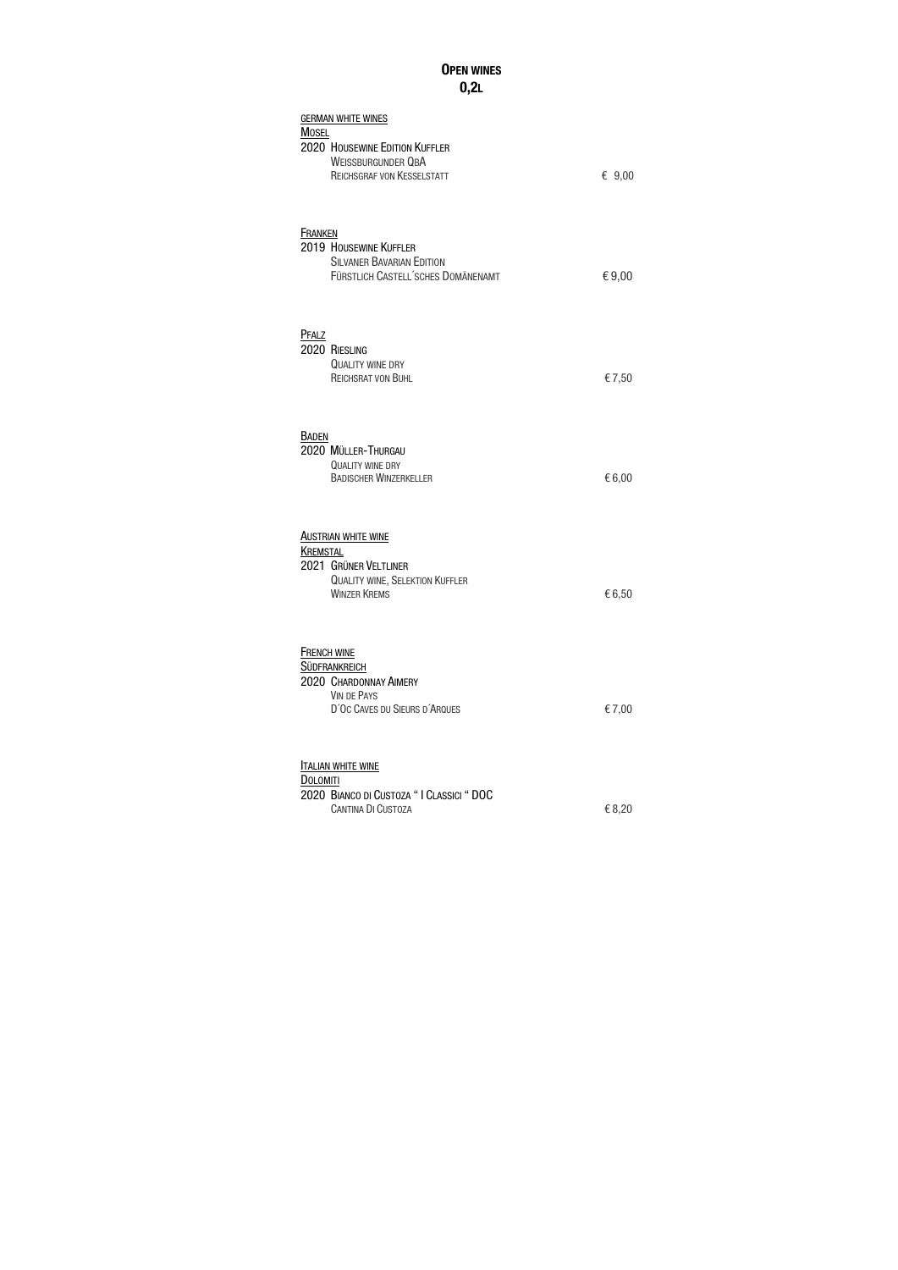# OPEN WINES 0,2L

| <b>GERMAN WHITE WINES</b><br><b>MOSEL</b><br>2020 HOUSEWINE EDITION KUFFLER<br><b>WEISSBURGUNDER QBA</b><br>REICHSGRAF VON KESSELSTATT  | € $9,00$ |
|-----------------------------------------------------------------------------------------------------------------------------------------|----------|
| <b>FRANKEN</b><br>2019 HOUSEWINE KUFFLER<br><b>SILVANER BAVARIAN EDITION</b><br>FÜRSTLICH CASTELL'SCHES DOMÄNENAMT                      | €9,00    |
| PFALZ<br>2020 RIESLING<br><b>QUALITY WINE DRY</b><br><b>REICHSRAT VON BUHL</b>                                                          | €7,50    |
| <b>BADEN</b><br>2020 MÜLLER-THURGAU<br><b>QUALITY WINE DRY</b><br><b>BADISCHER WINZERKELLER</b>                                         | €6,00    |
| <b>AUSTRIAN WHITE WINE</b><br><b>KREMSTAL</b><br>2021 GRÜNER VELTLINER<br><b>QUALITY WINE, SELEKTION KUFFLER</b><br><b>WINZER KREMS</b> | €6,50    |
| <b>FRENCH WINE</b><br><b>SÜDFRANKREICH</b><br>2020 CHARDONNAY AIMERY<br><b>VIN DE PAYS</b><br>D'OC CAVES DU SIEURS D'ARQUES             | €7,00    |
| <b>TALIAN WHITE WINE</b><br><b>DOLOMITI</b><br>2020 BIANCO DI CUSTOZA "I CLASSICI " DOC<br><b>CANTINA DI CUSTOZA</b>                    | € 8,20   |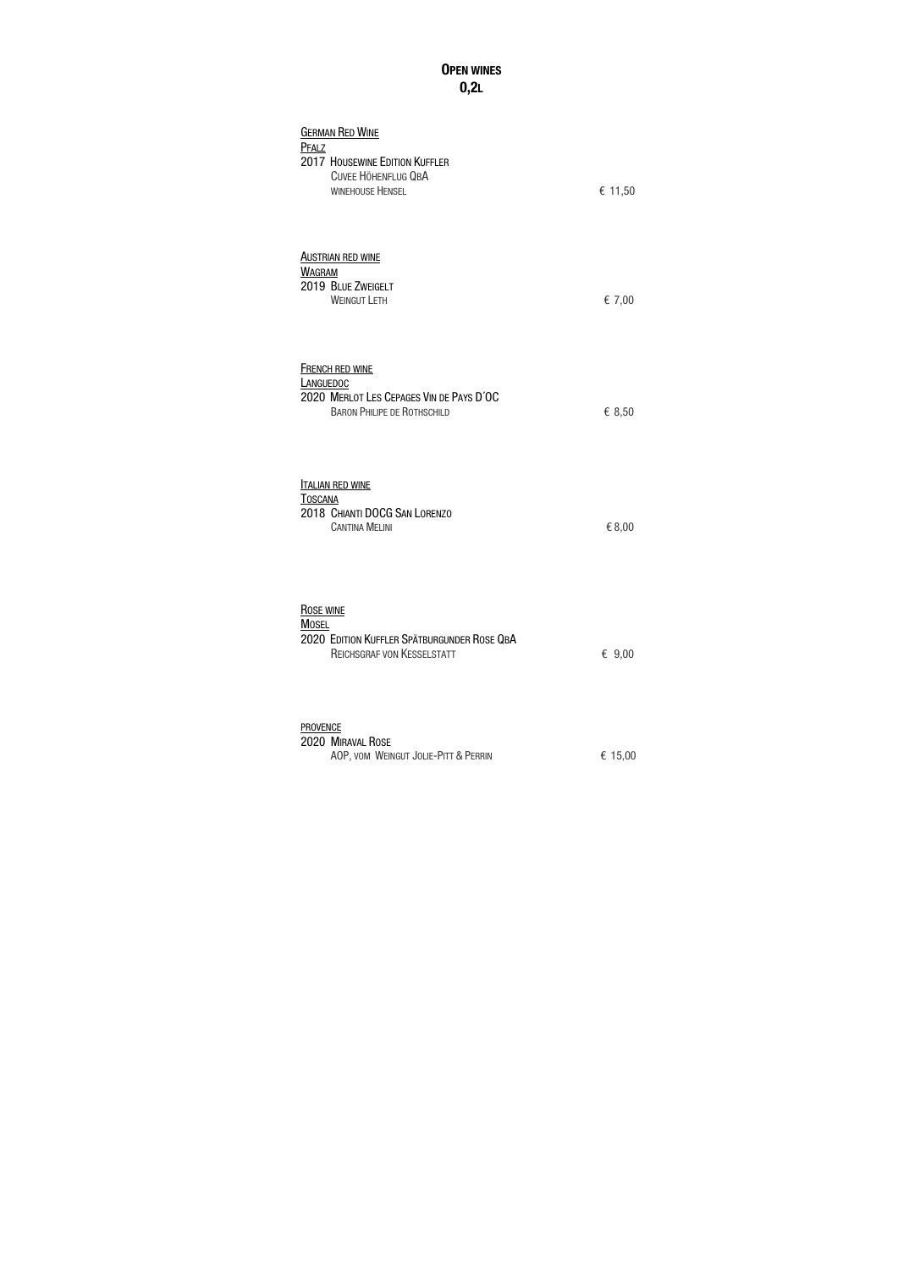# OPEN WINES  $0,2L$

| <b>GERMAN RED WINE</b><br>PFALZ<br>2017 HOUSEWINE EDITION KUFFLER<br><b>CUVEE HÖHENFLUG QBA</b><br><b>WINEHOUSE HENSEL</b>   | € 11,50  |
|------------------------------------------------------------------------------------------------------------------------------|----------|
| <b>AUSTRIAN RED WINE</b><br><b>WAGRAM</b><br>2019 BLUE ZWEIGELT<br><b>WEINGUT LETH</b>                                       | € 7,00   |
| <b>FRENCH RED WINE</b><br><b>LANGUEDOC</b><br>2020 MERLOT LES CEPAGES VIN DE PAYS D'OC<br><b>BARON PHILIPE DE ROTHSCHILD</b> | € 8,50   |
| <b>ITALIAN RED WINE</b><br><b>TOSCANA</b><br>2018 CHIANTI DOCG SAN LORENZO<br><b>CANTINA MELINI</b>                          | € 8,00   |
| <b>ROSE WINE</b><br><b>MOSEL</b><br>2020 EDITION KUFFLER SPÄTBURGUNDER ROSE QBA<br><b>REICHSGRAF VON KESSELSTATT</b>         | € $9,00$ |
| <b>PROVENCE</b><br>2020 MIRAVAL ROSE<br>AOP, VOM WEINGUT JOLIE-PITT & PERRIN                                                 | € 15,00  |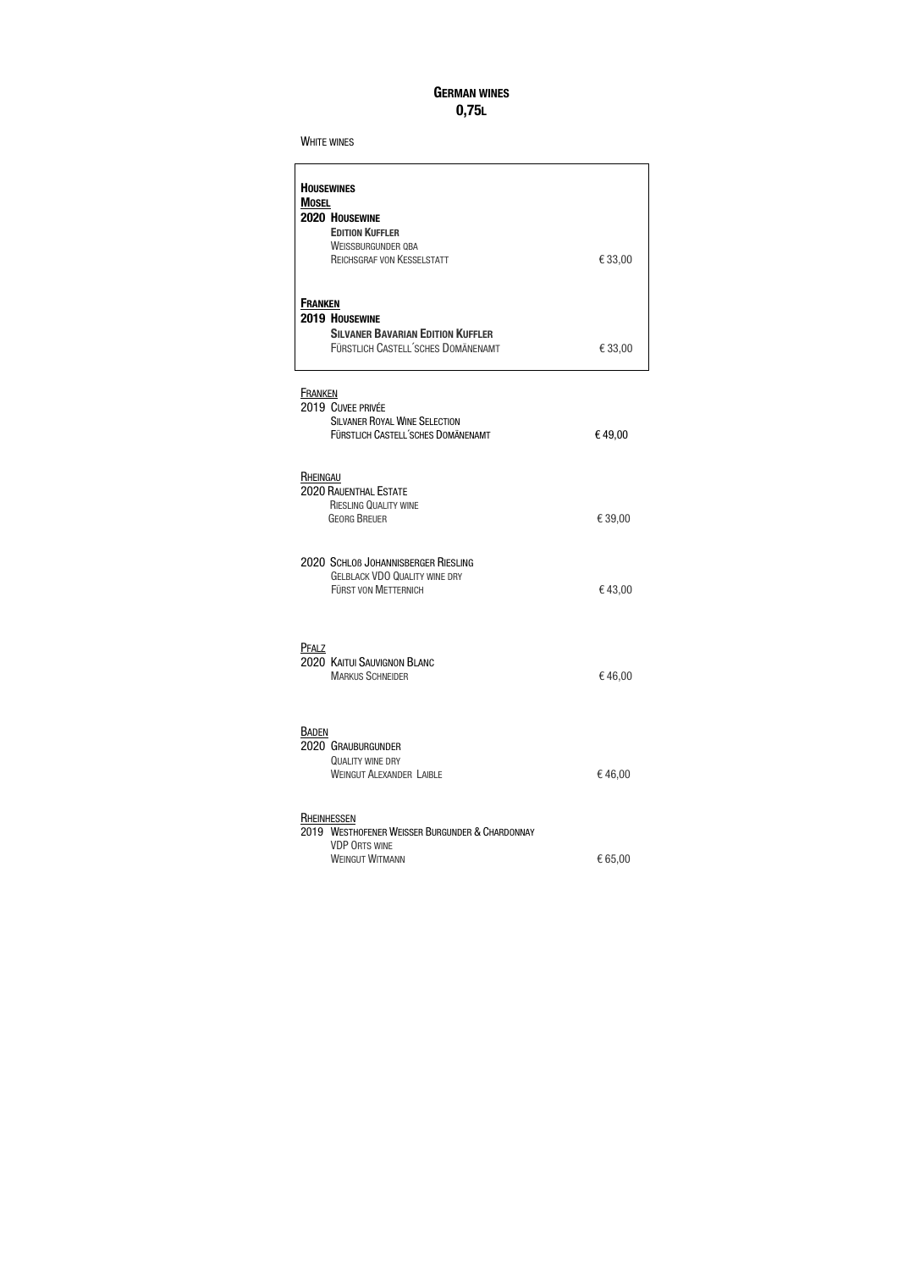### GERMAN WINES 0,75L

#### WHITE WINES

| <b>HOUSEWINES</b><br><b>MOSEL</b><br>2020 HOUSEWINE<br><b>EDITION KUFFLER</b><br><b>WEISSBURGUNDER QBA</b><br><b>REICHSGRAF VON KESSELSTATT</b> | €33,00  |
|-------------------------------------------------------------------------------------------------------------------------------------------------|---------|
| <b>FRANKEN</b><br>2019 HOUSEWINE<br><b>SILVANER BAVARIAN EDITION KUFFLER</b><br>FÜRSTLICH CASTELL'SCHES DOMÄNENAMT                              | €33,00  |
| <b>FRANKEN</b><br>2019 CUVEE PRIVÉE<br><b>SILVANER ROYAL WINE SELECTION</b><br>FÜRSTLICH CASTELL'SCHES DOMÄNENAMT                               | €49,00  |
| RHEINGAU<br><b>2020 RAUENTHAL ESTATE</b><br><b>RIESLING QUALITY WINE</b><br><b>GEORG BREUER</b>                                                 | € 39,00 |
| 2020 SCHLOB JOHANNISBERGER RIESLING<br><b>GELBLACK VDO QUALITY WINE DRY</b><br><b>FÜRST VON METTERNICH</b>                                      | €43,00  |
| <b>PFALZ</b><br>2020 KAITUI SAUVIGNON BLANC<br><b>MARKUS SCHNEIDER</b>                                                                          | €46,00  |
| <b>BADEN</b><br>2020 GRAUBURGUNDER<br><b>QUALITY WINE DRY</b><br><b>WEINGUT ALEXANDER LAIBLE</b>                                                | €46,00  |
| <b>RHEINHESSEN</b><br>2019 WESTHOFENER WEISSER BURGUNDER & CHARDONNAY<br><b>VDP ORTS WINE</b><br><b>WEINGUT WITMANN</b>                         | € 65,00 |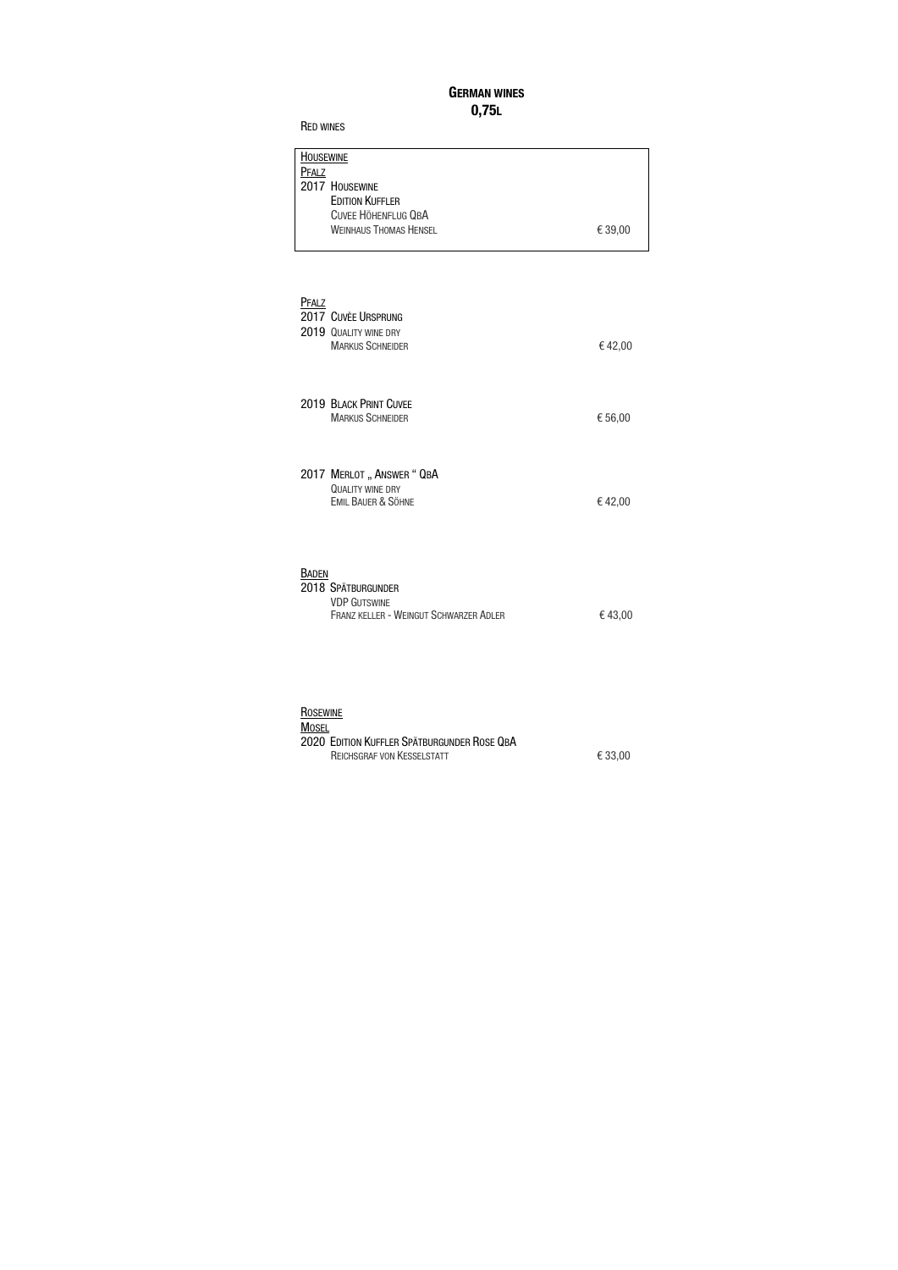### GERMAN WINES 0,75L

| <b>HOUSEWINE</b>              |         |
|-------------------------------|---------|
| PFALZ                         |         |
| 2017 HOUSEWINE                |         |
| <b>EDITION KUFFLER</b>        |         |
| <b>CUVEE HÖHENFLUG QBA</b>    |         |
| <b>WEINHAUS THOMAS HENSEL</b> | € 39,00 |
|                               |         |

| PFALZ        | 2017 CUVÈE URSPRUNG<br>2019 QUALITY WINE DRY<br><b>MARKUS SCHNEIDER</b>                    | €42,00  |
|--------------|--------------------------------------------------------------------------------------------|---------|
|              | 2019 BLACK PRINT CUVEE<br><b>MARKUS SCHNEIDER</b>                                          | € 56,00 |
|              | 2017 MERLOT "ANSWER" QBA<br><b>QUALITY WINE DRY</b><br><b>EMIL BAUER &amp; SÖHNE</b>       | €42,00  |
| <b>BADEN</b> | 2018 SPÄTBURGUNDER<br><b>VDP GUTSWINE</b><br><b>FRANZ KELLER - WEINGUT SCHWARZER ADLER</b> | €43,00  |

| ROSEWINE                                    |         |
|---------------------------------------------|---------|
| <b>MOSEL</b>                                |         |
| 2020 EDITION KUFFLER SPÄTBURGUNDER ROSE QBA |         |
| <b>REICHSGRAF VON KESSELSTATT</b>           | € 33.00 |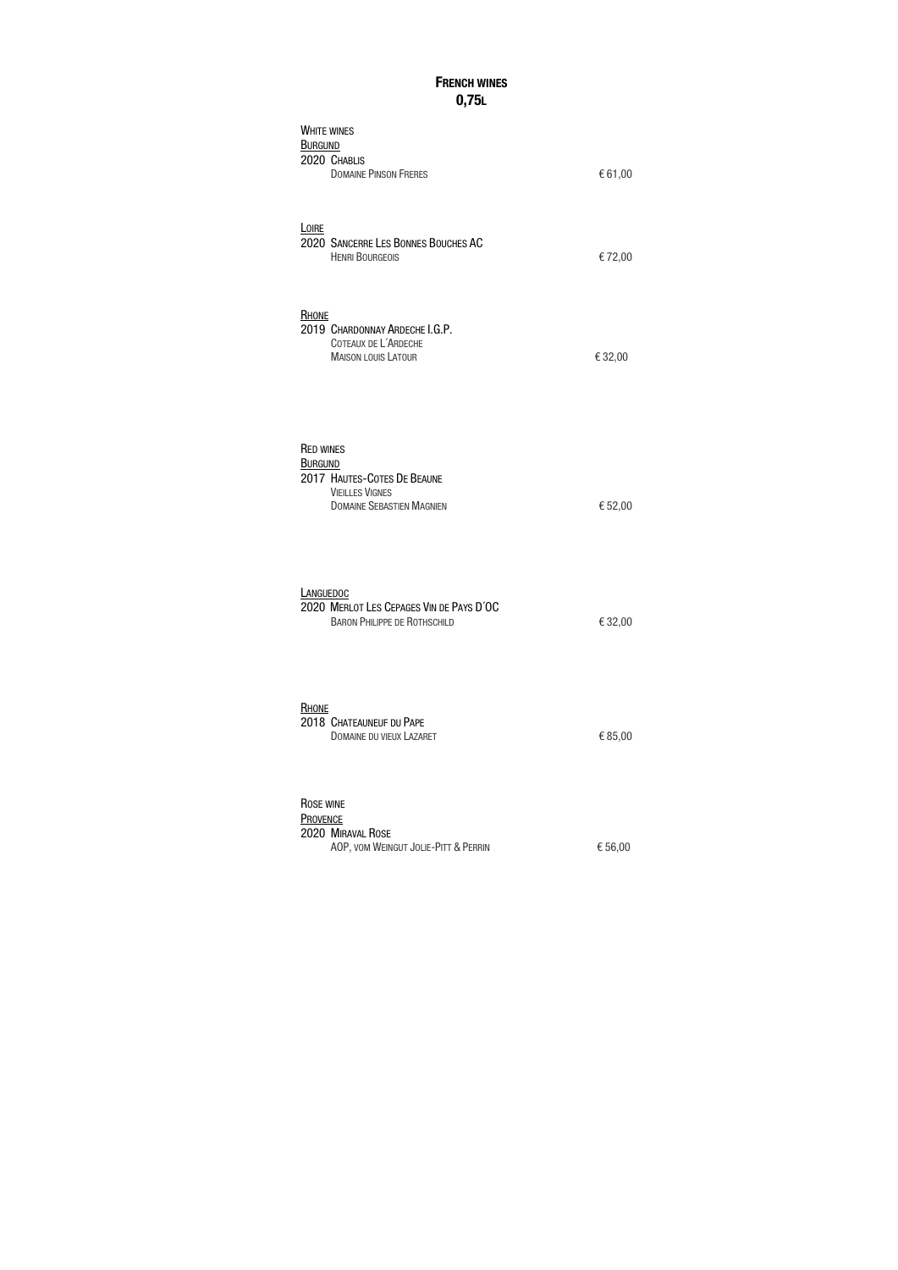### **FRENCH WINES** 0,75L

| <b>WHITE WINES</b><br><b>BURGUND</b><br>2020 CHABLIS<br><b>DOMAINE PINSON FRERES</b>                                            | €61,00  |
|---------------------------------------------------------------------------------------------------------------------------------|---------|
| <b>LOIRE</b><br>2020 SANCERRE LES BONNES BOUCHES AC<br><b>HENRI BOURGEOIS</b>                                                   | €72,00  |
| RHONE<br>2019 CHARDONNAY ARDECHE I.G.P.<br>COTEAUX DE L'ARDECHE<br><b>MAISON LOUIS LATOUR</b>                                   | €32,00  |
| <b>RED WINES</b><br><b>BURGUND</b><br>2017 HAUTES-COTES DE BEAUNE<br><b>VIEILLES VIGNES</b><br><b>DOMAINE SEBASTIEN MAGNIEN</b> | € 52,00 |
| LANGUEDOC<br>2020 MERLOT LES CEPAGES VIN DE PAYS D'OC<br><b>BARON PHILIPPE DE ROTHSCHILD</b>                                    | € 32,00 |
| <b>RHONE</b><br>2018 CHATEAUNEUF DU PAPE<br><b>DOMAINE DU VIEUX LAZARET</b>                                                     | €85,00  |
| ROSE WINE<br><b>PROVENCE</b><br>2020 MIRAVAL ROSE<br>AOP, VOM WEINGUT JOLIE-PITT & PERRIN                                       | € 56,00 |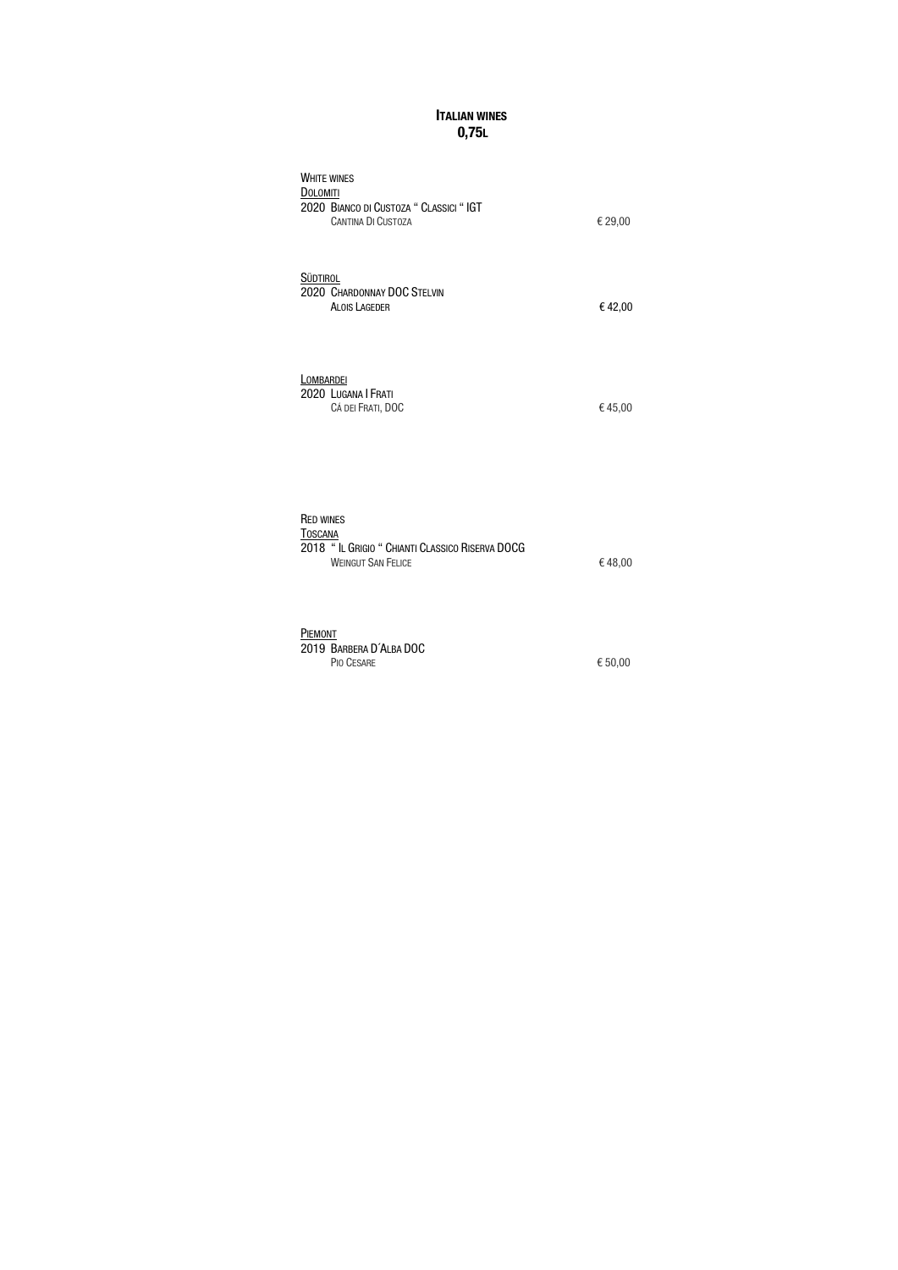### **ITALIAN WINES** 0,75L

| <b>WHITE WINES</b><br><b>DOLOMITI</b>                                  |         |
|------------------------------------------------------------------------|---------|
| 2020 BIANCO DI CUSTOZA " CLASSICI " IGT<br><b>CANTINA DI CUSTOZA</b>   | € 29,00 |
| <b>SÜDTIROL</b><br>2020 CHARDONNAY DOC STELVIN<br><b>ALOIS LAGEDER</b> | €42,00  |
| LOMBARDEI<br>2020 LUGANA   FRATI<br>CÁ DEI FRATI, DOC                  | €45,00  |

| <b>RED WINES</b>                                |         |
|-------------------------------------------------|---------|
| TOSCANA                                         |         |
| 2018 "IL GRIGIO " CHIANTI CLASSICO RISERVA DOCG |         |
| <b>WEINGUT SAN FELICE</b>                       | € 48,00 |

| PIEMONT                 |           |
|-------------------------|-----------|
| 2019 BARBERA D'ALBA DOC |           |
| PIO CESARE              | € $50,00$ |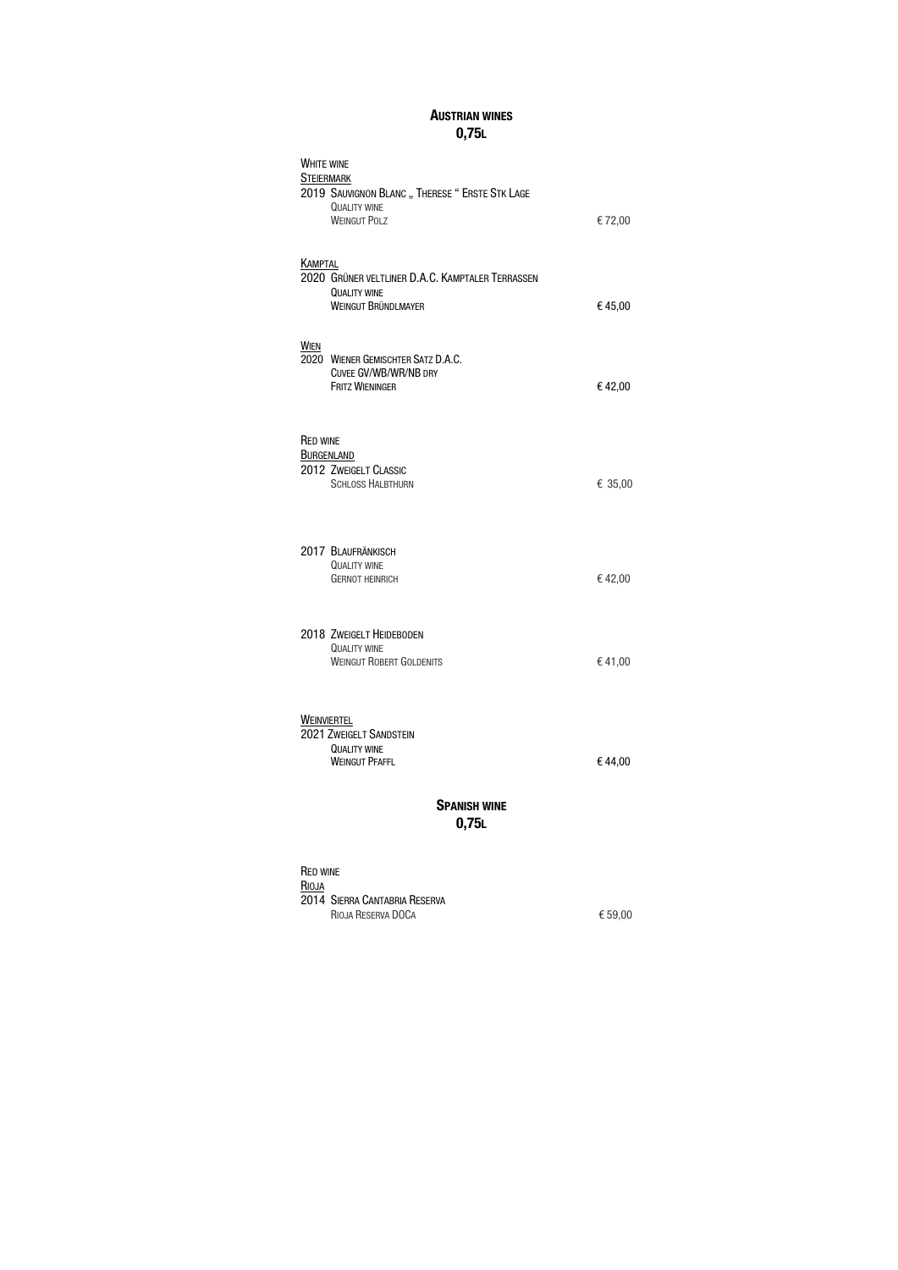### AUSTRIAN WINES 0,75L

| <b>WHITE WINE</b><br><b>STEIERMARK</b> | 2019 SAUVIGNON BLANC " THERESE " ERSTE STK LAGE<br><b>QUALITY WINE</b>                         |         |
|----------------------------------------|------------------------------------------------------------------------------------------------|---------|
|                                        | <b>WEINGUT POLZ</b>                                                                            | €72,00  |
| KAMPTAL                                | 2020 GRÜNER VELTLINER D.A.C. KAMPTALER TERRASSEN<br><b>QUALITY WINE</b><br>WEINGUT BRÜNDLMAYER | €45,00  |
| WIEN                                   | 2020 WIENER GEMISCHTER SATZ D.A.C.<br>CUVEE GV/WB/WR/NB DRY<br><b>FRITZ WIENINGER</b>          | €42,00  |
| <b>RED WINE</b><br><b>BURGENLAND</b>   | 2012 ZWEIGELT CLASSIC<br><b>SCHLOSS HALBTHURN</b>                                              | € 35,00 |
|                                        | 2017 BLAUFRÄNKISCH<br><b>QUALITY WINE</b><br><b>GERNOT HEINRICH</b>                            | €42,00  |
|                                        | 2018 ZWEIGELT HEIDEBODEN<br><b>QUALITY WINE</b><br><b>WEINGUT ROBERT GOLDENITS</b>             | €41,00  |
| <b>WEINVIERTEL</b>                     | 2021 ZWEIGELT SANDSTEIN<br><b>QUALITY WINE</b><br><b>WEINGUT PFAFFL</b>                        | €44,00  |
| <b>SPANISH WINE</b>                    |                                                                                                |         |

0,75L

RED WINE RIOJA 2014 SIERRA CANTABRIA RESERVA RIOJA RESERVA DOCA € 59,00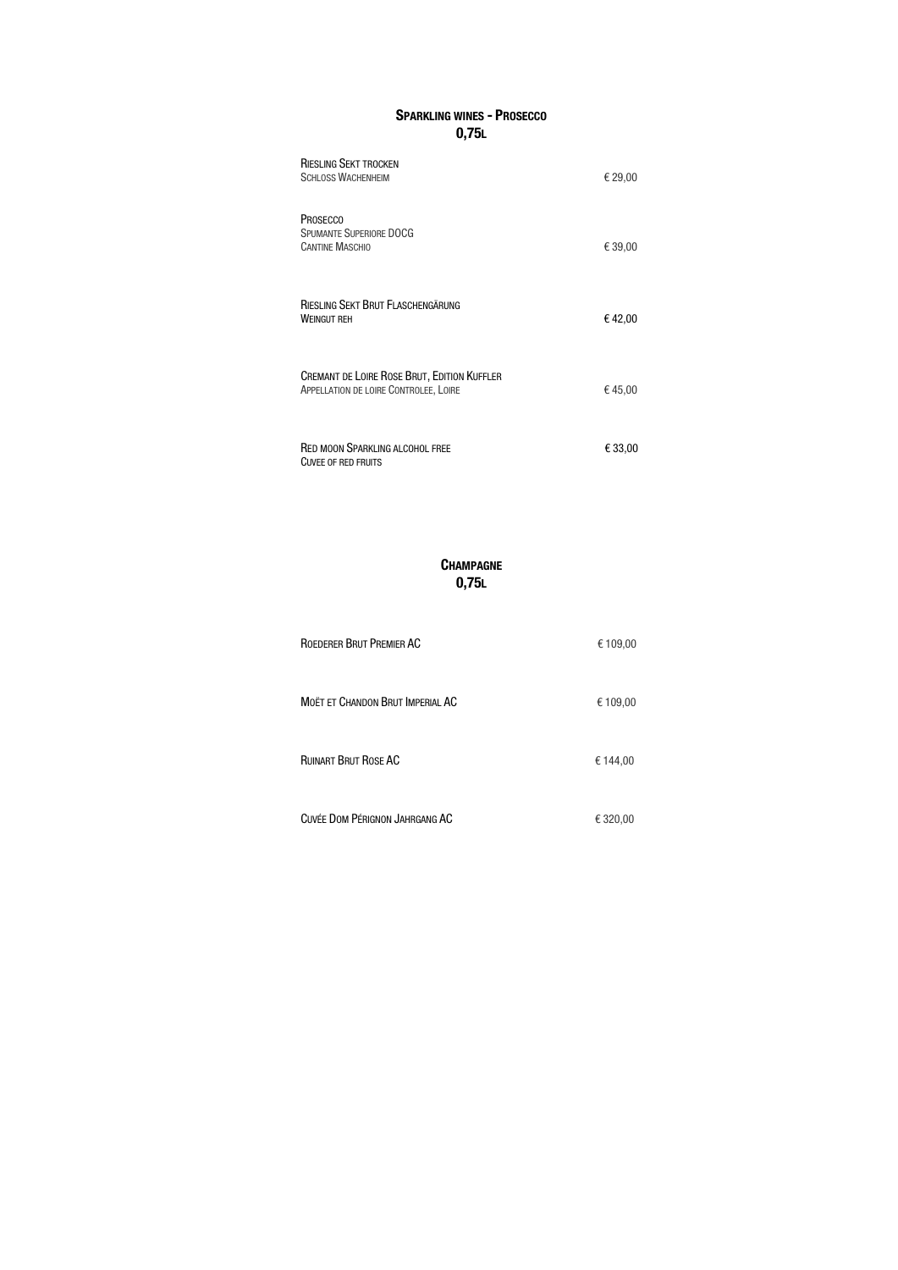# SPARKLING WINES - PROSECCO 0,75L

# **CHAMPAGNE** 0,75L

| <b>RIESLING SEKT TROCKEN</b><br><b>SCHLOSS WACHENHEIM</b>                                   | € 29,00 |
|---------------------------------------------------------------------------------------------|---------|
| <b>PROSECCO</b><br><b>SPUMANTE SUPERIORE DOCG</b><br><b>CANTINE MASCHIO</b>                 | € 39,00 |
| RIESLING SEKT BRUT FLASCHENGÄRUNG<br><b>WEINGUT REH</b>                                     | €42,00  |
| <b>CREMANT DE LOIRE ROSE BRUT, EDITION KUFFLER</b><br>APPELLATION DE LOIRE CONTROLEE, LOIRE | €45,00  |
| <b>RED MOON SPARKLING ALCOHOL FREE</b><br><b>CUVEE OF RED FRUITS</b>                        | € 33,00 |

| ROEDERER BRUT PREMIER AC                | € 109,00 |
|-----------------------------------------|----------|
| <b>MOËT ET CHANDON BRUT IMPERIAL AC</b> | € 109,00 |
| <b>RUINART BRUT ROSE AC</b>             | € 144,00 |
| CUVÉE DOM PÉRIGNON JAHRGANG AC          | € 320,00 |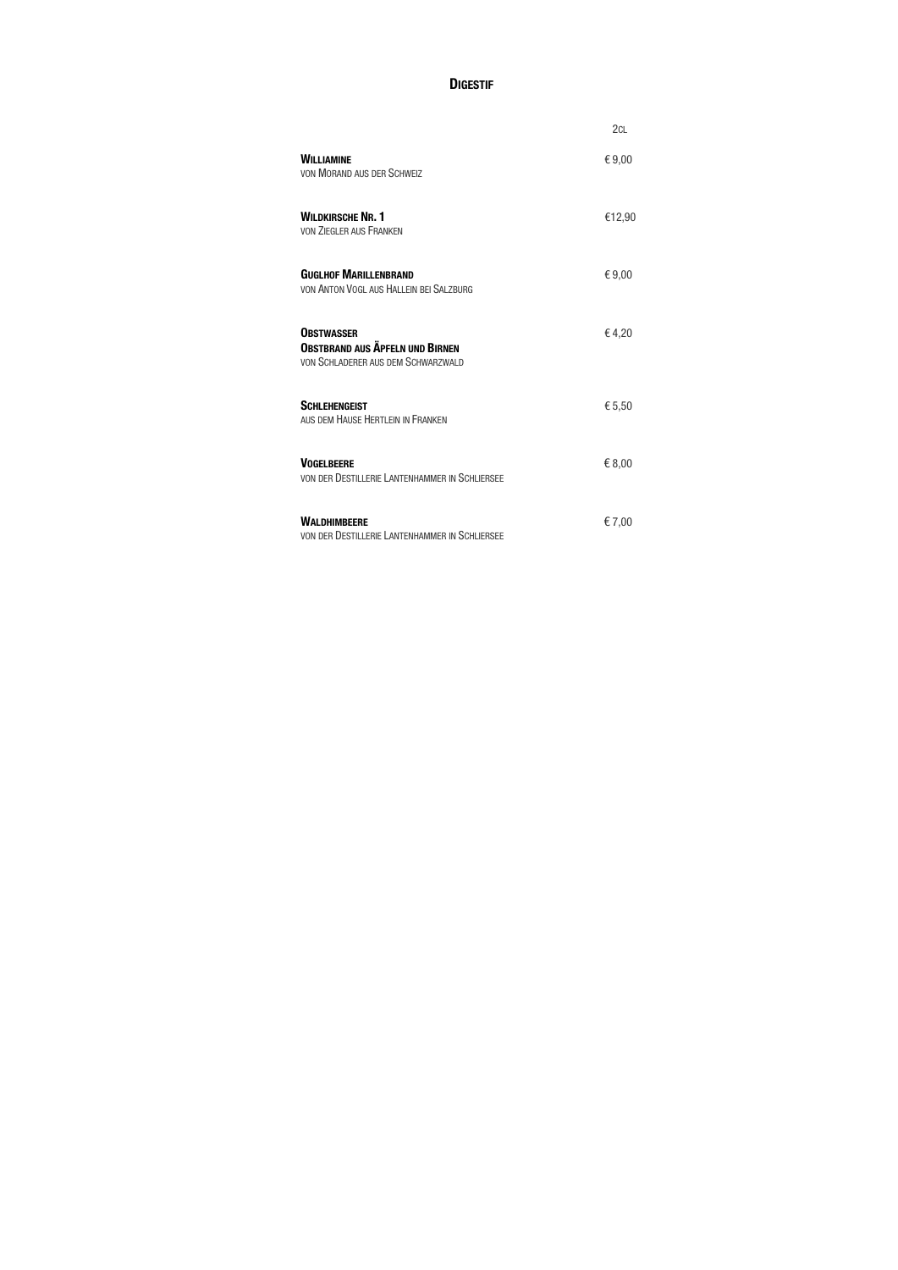### **DIGESTIF**

|                                                                                                   | 2 <sub>CL</sub> |
|---------------------------------------------------------------------------------------------------|-----------------|
| <b>WILLIAMINE</b><br><b>VON MORAND AUS DER SCHWEIZ</b>                                            | €9,00           |
| <b>WILDKIRSCHE NR. 1</b><br><b>VON ZIEGLER AUS FRANKEN</b>                                        | €12,90          |
| <b>GUGLHOF MARILLENBRAND</b><br>VON ANTON VOGL AUS HALLEIN BEI SALZBURG                           | €9,00           |
| <b>OBSTWASSER</b><br><b>OBSTBRAND AUS ÄPFELN UND BIRNEN</b><br>VON SCHLADERER AUS DEM SCHWARZWALD | €4,20           |
| <b>SCHLEHENGEIST</b><br>AUS DEM HAUSE HERTLEIN IN FRANKEN                                         | € 5,50          |
| <b>VOGELBEERE</b><br>VON DER DESTILLERIE LANTENHAMMER IN SCHLIERSEE                               | €8,00           |
| <b>WALDHIMBEERE</b><br>VON DER DESTILLERIE LANTENHAMMER IN SCHLIERSEE                             | €7,00           |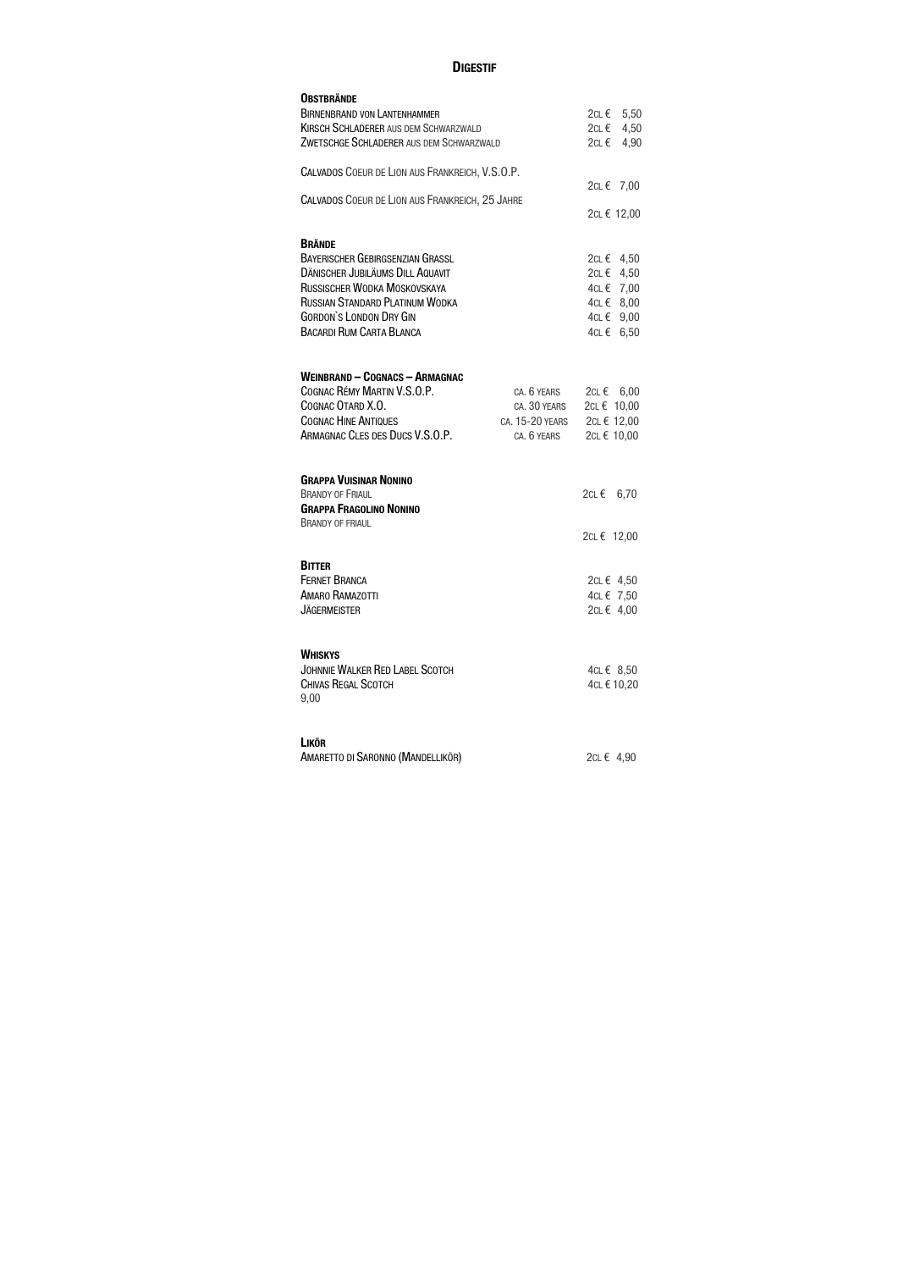# **DIGESTIF**

| <b>OBSTBRÄNDE</b>                               |                 |               |
|-------------------------------------------------|-----------------|---------------|
| <b>BIRNENBRAND VON LANTENHAMMER</b>             |                 | 2c∟ €<br>5,50 |
| <b>KIRSCH SCHLADERER AUS DEM SCHWARZWALD</b>    |                 | 4,50<br>2c∟ € |
| ZWETSCHGE SCHLADERER AUS DEM SCHWARZWALD        |                 | 4,90<br>2c∟ € |
|                                                 |                 |               |
| CALVADOS COEUR DE LION AUS FRANKREICH, V.S.O.P. |                 |               |
|                                                 |                 | 2cL € 7,00    |
| CALVADOS COEUR DE LION AUS FRANKREICH, 25 JAHRE |                 |               |
|                                                 |                 | 2cL € 12,00   |
|                                                 |                 |               |
| <b>BRÄNDE</b>                                   |                 |               |
| <b>BAYERISCHER GEBIRGSENZIAN GRASSL</b>         |                 | 2cL € 4,50    |
| <b>DÄNISCHER JUBILÄUMS DILL AQUAVIT</b>         |                 | 2cL € 4,50    |
| RUSSISCHER WODKA MOSKOVSKAYA                    |                 | 4CL € 7,00    |
| <b>RUSSIAN STANDARD PLATINUM WODKA</b>          |                 | 4CL€ 8,00     |
| <b>GORDON'S LONDON DRY GIN</b>                  |                 | 4CL € 9,00    |
| <b>BACARDI RUM CARTA BLANCA</b>                 |                 | 6,50<br>4c∟ € |
|                                                 |                 |               |
|                                                 |                 |               |
| <b>WEINBRAND - COGNACS - ARMAGNAC</b>           |                 |               |
| COGNAC RÉMY MARTIN V.S.O.P.                     | CA. 6 YEARS     | 2cL € 6,00    |
| COGNAC OTARD X.O.                               | CA. 30 YEARS    | 2cL € 10,00   |
| <b>COGNAC HINE ANTIQUES</b>                     | CA. 15-20 YEARS | 2cL € 12,00   |
| ARMAGNAC CLES DES DUCS V.S.O.P.                 | CA. 6 YEARS     | 2cL € 10,00   |
|                                                 |                 |               |
|                                                 |                 |               |
| <b>GRAPPA VUISINAR NONINO</b>                   |                 |               |
| <b>BRANDY OF FRIAUL</b>                         |                 | 2c∟€<br>6,70  |
| <b>GRAPPA FRAGOLINO NONINO</b>                  |                 |               |
| <b>BRANDY OF FRIAUL</b>                         |                 |               |
|                                                 |                 | 2cL € 12,00   |
|                                                 |                 |               |
| <b>BITTER</b>                                   |                 |               |
| <b>FERNET BRANCA</b>                            |                 | 2cL € 4,50    |
| AMARO RAMAZOTTI                                 |                 | 4cL € 7,50    |
| <b>JÄGERMEISTER</b>                             |                 | 2cL € 4,00    |
|                                                 |                 |               |
|                                                 |                 |               |
| <b>WHISKYS</b>                                  |                 |               |
| <b>JOHNNIE WALKER RED LABEL SCOTCH</b>          |                 | 4cL€ 8,50     |
| <b>CHIVAS REGAL SCOTCH</b>                      |                 | 4cL € 10,20   |
| 9,00                                            |                 |               |
|                                                 |                 |               |
|                                                 |                 |               |
| <b>LIKÖR</b>                                    |                 |               |
| AMARETTO DI SARONNO (MANDELLIKÖR)               |                 | 2CL € 4,90    |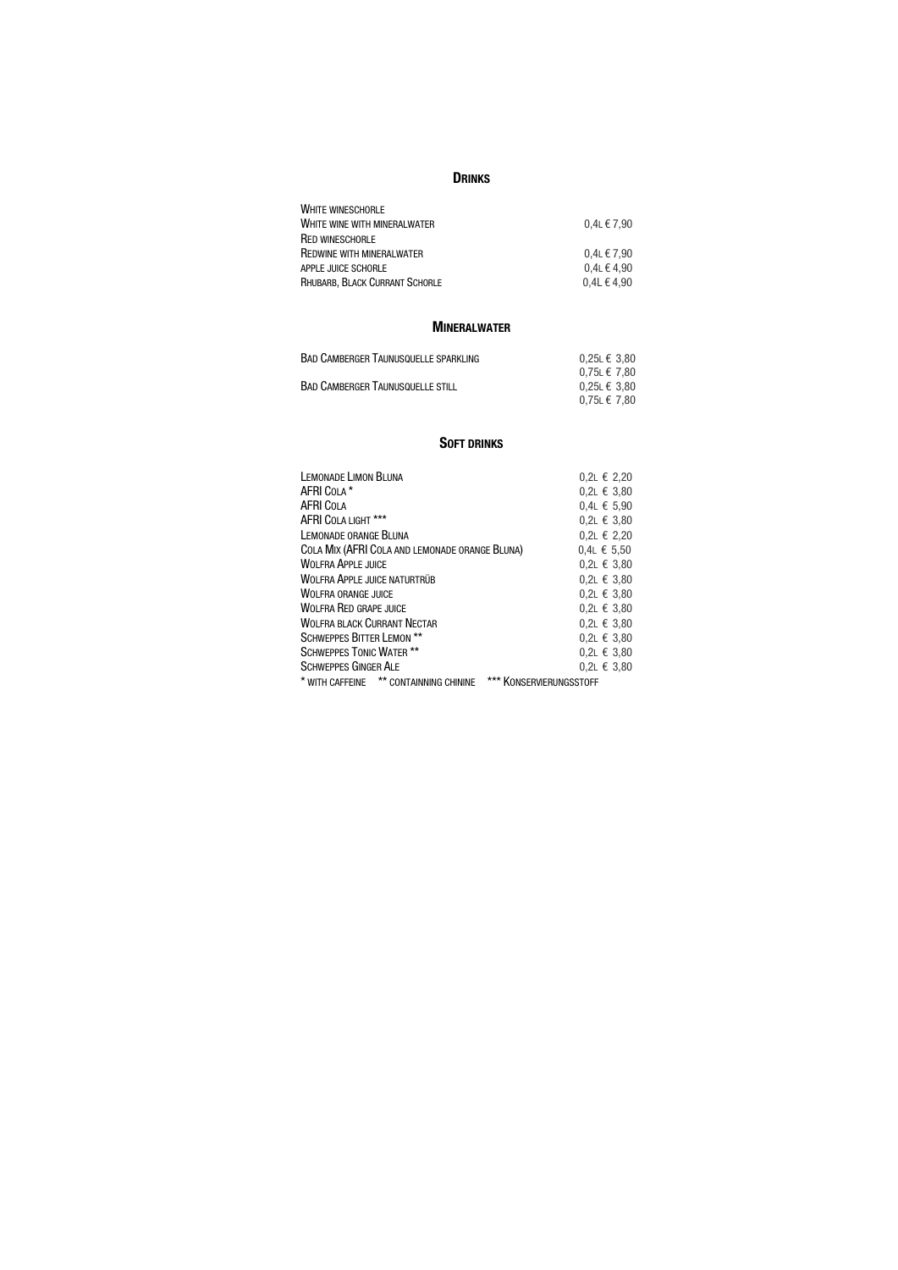#### **DRINKS**

| <b>WHITE WINESCHORLE</b>         |                 |
|----------------------------------|-----------------|
| WHITE WINE WITH MINERALWATER     | $0.4$ L € 7.90  |
| <b>RED WINESCHORLE</b>           |                 |
| <b>REDWINE WITH MINERALWATER</b> | $0.4L \in 7.90$ |
| APPLE JUICE SCHORLE              | $0.4$ L € 4,90  |
| RHUBARB, BLACK CURRANT SCHORLE   | $0,4L \in 4,90$ |

#### MINERALWATER

| $0.25$ L € 3.80   |
|-------------------|
| $0.75 L \in 7.80$ |
| $0.25L \in 3.80$  |
| $0.75 L \in 7.80$ |
|                   |

#### **SOFT DRINKS**

| <b>LEMONADE LIMON BLUNA</b>                                       | $0,2$ L € 2,20 |
|-------------------------------------------------------------------|----------------|
| AFRI COLA *                                                       | 0,2L € 3,80    |
| <b>AFRI COLA</b>                                                  | $0,4$ L € 5,90 |
| AFRI COLA LIGHT ***                                               | $0,2$ L € 3,80 |
| LEMONADE ORANGE BLUNA                                             | 0,2L € 2,20    |
| COLA MIX (AFRI COLA AND LEMONADE ORANGE BLUNA)                    | $0,4$ L € 5,50 |
| <b>WOLFRA APPLE JUICE</b>                                         | 0,2L € 3,80    |
| <b>WOLFRA APPLE JUICE NATURTRÜB</b>                               | 0,2L € 3,80    |
| <b>WOLFRA ORANGE JUICE</b>                                        | 0,2L € 3,80    |
| <b>WOLFRA RED GRAPE JUICE</b>                                     | $0,2$ L € 3,80 |
| <b>WOLFRA BLACK CURRANT NECTAR</b>                                | 0,2L € 3,80    |
| <b>SCHWEPPES BITTER LEMON **</b>                                  | 0,2L € 3,80    |
| <b>SCHWEPPES TONIC WATER **</b>                                   | $0,2$ L € 3,80 |
| <b>SCHWEPPES GINGER ALE</b>                                       | $0.2$ L € 3.80 |
| * WITH CAFFEINE ** CONTAINNING CHININE<br>*** KONSERVIERUNGSSTOFF |                |